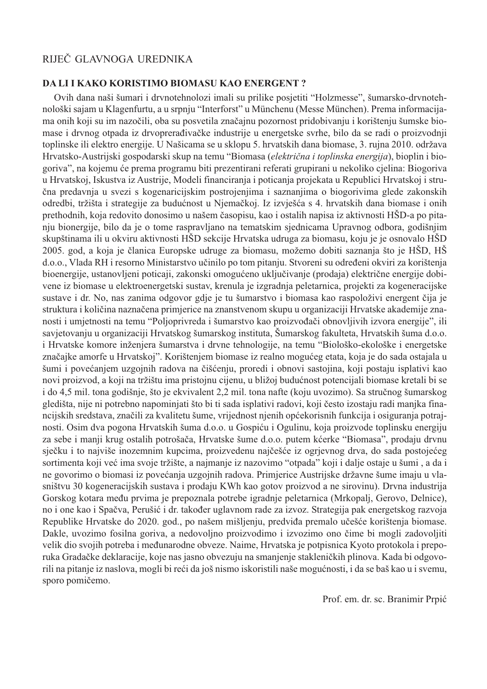## RIJEČ GLAVNOGA UREDNIKA

## **DA LI I KAKO KORISTIMO BIOMASU KAO ENERGENT ?**

Ovih dana naši šumari i drvnotehnolozi imali su prilike posjetiti "Holzmesse", šumarsko-drvnotehnološki sajam u Klagenfurtu, a u srpnju "Interforst" u Münchenu (Messe München). Prema informacijama onih koji su im nazočili, oba su posvetila značajnu pozornost pridobivanju i korištenju šumske biomase i drvnog otpada iz drvoprerađivačke industrije u energetske svrhe, bilo da se radi o proizvodnji toplinske ili elektro energije. U Našicama se u sklopu 5. hrvatskih dana biomase, 3. rujna 2010. održava Hrvatsko-Austrijski gospodarski skup na temu "Biomasa (*električna i toplinska energija*), bioplin i biogoriva", na kojemu će prema programu biti prezentirani referati grupirani u nekoliko cjelina: Biogoriva u Hrvatskoj, Iskustva iz Austrije, Modeli financiranja i poticanja projekata u Republici Hrvatskoj i stručna predavnja u svezi s kogenaricijskim postrojenjima i saznanjima o biogorivima glede zakonskih odredbi, tržišta i strategije za budućnost u Njemačkoj. Iz izvješća s 4. hrvatskih dana biomase i onih prethodnih, koja redovito donosimo u našem časopisu, kao i ostalih napisa iz aktivnosti HŠD-a po pitanju bionergije, bilo da je o tome raspravljano na tematskim sjednicama Upravnog odbora, godišnjim skupštinama ili u okviru aktivnosti HŠD sekcije Hrvatska udruga za biomasu, koju je je osnovalo HŠD 2005. god, a koja je članica Europske udruge za biomasu, možemo dobiti saznanja što je HŠD, HŠ d.o.o., Vlada RH i resorno Ministarstvo učinilo po tom pitanju. Stvoreni su određeni okviri za korištenja bioenergije, ustanovljeni poticaji, zakonski omogućeno uključivanje (prodaja) električne energije dobivene iz biomase u elektroenergetski sustav, krenula je izgradnja peletarnica, projekti za kogeneracijske sustave i dr. No, nas zanima odgovor gdje je tu šumarstvo i biomasa kao raspoloživi energent čija je struktura i količina naznačena primjerice na znanstvenom skupu u organizaciji Hrvatske akademije znanosti i umjetnosti na temu "Poljoprivreda i šumarstvo kao proizvođači obnovljivih izvora energije", ili savjetovanju u organizaciji Hrvatskog šumarskog instituta, Šumarskog fakulteta, Hrvatskih šuma d.o.o. i Hrvatske komore inženjera šumarstva i drvne tehnologije, na temu "Biološko-ekološke i energetske značajke amorfe u Hrvatskoj". Korištenjem biomase iz realno mogućeg etata, koja je do sada ostajala u šumi i povećanjem uzgojnih radova na čišćenju, proredi i obnovi sastojina, koji postaju isplativi kao novi proizvod, a koji na tržištu ima pristojnu cijenu, u bližoj budućnost potencijali biomase kretali bi se i do 4,5 mil. tona godišnje, što je ekvivalent 2,2 mil. tona nafte (koju uvozimo). Sa stručnog šumarskog gledišta, nije ni potrebno napominjati što bi ti sada isplativi radovi, koji često izostaju radi manjka financijskih sredstava, značili za kvalitetu šume, vrijednost njenih općekorisnih funkcija i osiguranja potrajnosti. Osim dva pogona Hrvatskih šuma d.o.o. u Gospiću i Ogulinu, koja proizvode toplinsku energiju za sebe i manji krug ostalih potrošača, Hrvatske šume d.o.o. putem kćerke "Biomasa", prodaju drvnu sječku i to najviše inozemnim kupcima, proizvedenu najčešće iz ogrjevnog drva, do sada postojećeg sortimenta koji već ima svoje tržište, a najmanje iz nazovimo "otpada" koji i dalje ostaje u šumi , a da i ne govorimo o biomasi iz povećanja uzgojnih radova. Primjerice Austrijske državne šume imaju u vlasništvu 30 kogeneracijskih sustava i prodaju KWh kao gotov proizvod a ne sirovinu). Drvna industrija Gorskog kotara među prvima je prepoznala potrebe igradnje peletarnica (Mrkopalj, Gerovo, Delnice), no i one kao i Spačva, Perušić i dr. također uglavnom rade za izvoz. Strategija pak energetskog razvoja Republike Hrvatske do 2020. god., po našem mišljenju, predviđa premalo učešće korištenja biomase. Dakle, uvozimo fosilna goriva, a nedovoljno proizvodimo i izvozimo ono čime bi mogli zadovoljiti velik dio svojih potreba i međunarodne obveze. Naime, Hrvatska je potpisnica Kyoto protokola i preporuka Gradačke deklaracije, koje nas jasno obvezuju na smanjenje stakleničkih plinova. Kada bi odgovorili na pitanje iz naslova, mogli bi reći da još nismo iskoristili naše mogućnosti, i da se baš kao u i svemu, sporo pomičemo.

Prof. em. dr. sc. Branimir Prpić